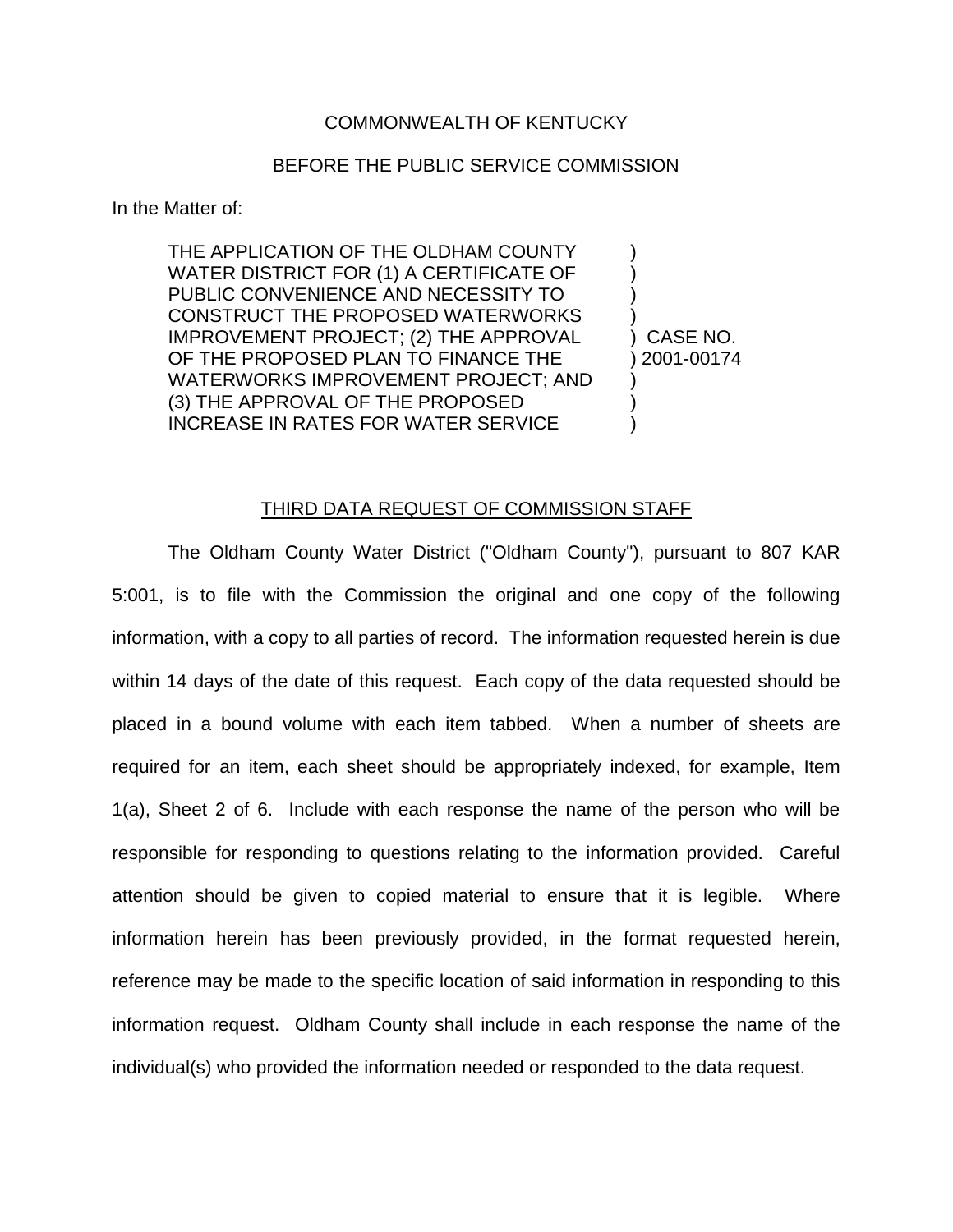## COMMONWEALTH OF KENTUCKY

## BEFORE THE PUBLIC SERVICE COMMISSION

In the Matter of:

THE APPLICATION OF THE OLDHAM COUNTY WATER DISTRICT FOR (1) A CERTIFICATE OF PUBLIC CONVENIENCE AND NECESSITY TO CONSTRUCT THE PROPOSED WATERWORKS IMPROVEMENT PROJECT; (2) THE APPROVAL OF THE PROPOSED PLAN TO FINANCE THE WATERWORKS IMPROVEMENT PROJECT; AND (3) THE APPROVAL OF THE PROPOSED INCREASE IN RATES FOR WATER SERVICE ) ) ) ) ) CASE NO. ) 2001-00174 ) ) )

THIRD DATA REQUEST OF COMMISSION STAFF

The Oldham County Water District ("Oldham County"), pursuant to 807 KAR 5:001, is to file with the Commission the original and one copy of the following information, with a copy to all parties of record. The information requested herein is due within 14 days of the date of this request. Each copy of the data requested should be placed in a bound volume with each item tabbed. When a number of sheets are required for an item, each sheet should be appropriately indexed, for example, Item 1(a), Sheet 2 of 6. Include with each response the name of the person who will be responsible for responding to questions relating to the information provided. Careful attention should be given to copied material to ensure that it is legible. Where information herein has been previously provided, in the format requested herein, reference may be made to the specific location of said information in responding to this information request. Oldham County shall include in each response the name of the individual(s) who provided the information needed or responded to the data request.